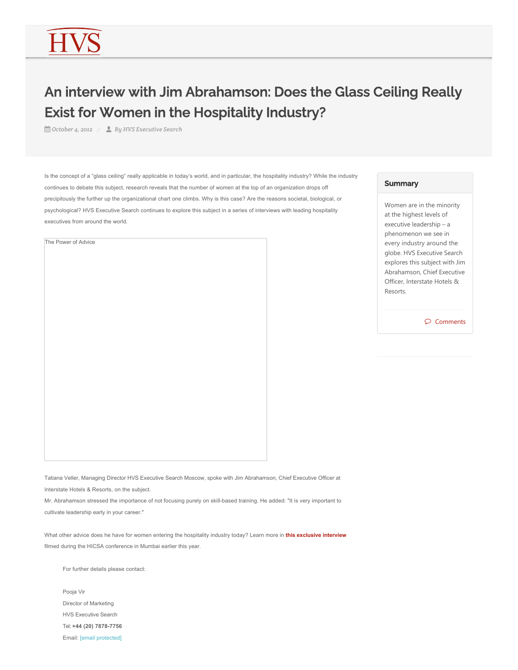## An interview with Jim Abrahamson: Does the Glass Ceiling Really Exist for Women in the Hospitality Industry?

*October 4, 2012 By HVS Executive Search*

Is the concept of a "glass ceiling" really applicable in today's world, and in particular, the hospitality industry? While the industry continues to debate this subject, research reveals that the number of women at the top of an organization drops off precipitously the further up the organizational chart one climbs. Why is this case? Are the reasons societal, biological, or psychological? HVS Executive Search continues to explore this subject in a series of interviews with leading hospitality executives from around the world.

The Power of Advice

## **Summary**

Women are in the minority at the highest levels of executive leadership – a phenomenon we see in every industry around the globe. HVS Executive Search explores this subject with Jim Abrahamson, Chief Executive Officer, Interstate Hotels & Resorts.

 $\wp$  Comments

Tatiana Veller, Managing Director HVS Executive Search Moscow, spoke with Jim Abrahamson, Chief Executive Officer at Interstate Hotels & Resorts, on the subject.

Mr. Abrahamson stressed the importance of not focusing purely on skill-based training. He added: "It is very important to cultivate leadership early in your career."

What other advice does he have for women entering the hospitality industry today? Learn more in **this exclusive interview** filmed during the HICSA conference in Mumbai earlier this year.

For further details please contact:

Pooja Vir Director of Marketing HVS Executive Search Tel: **+44 (20) 7878-7756** Email: [email protected]